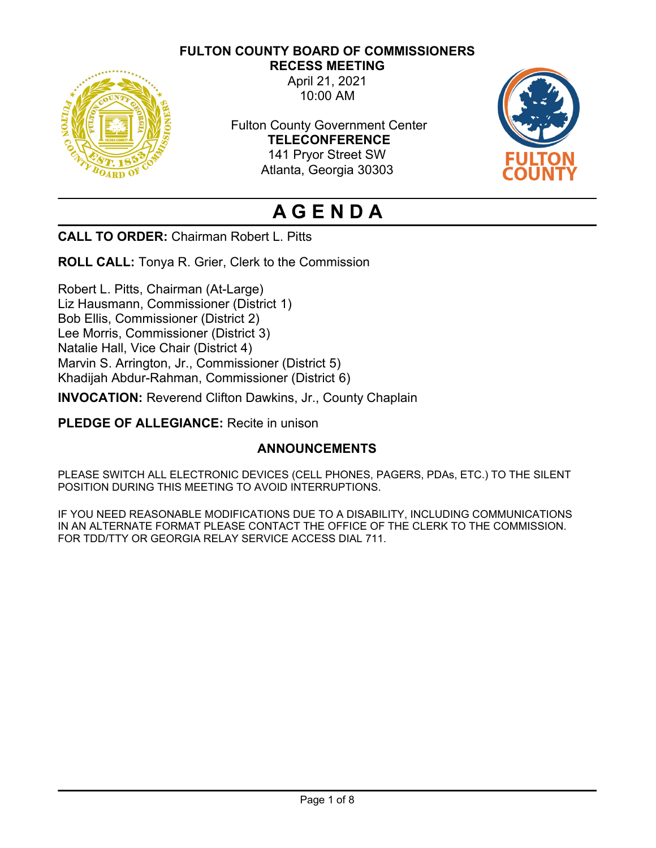**FULTON COUNTY BOARD OF COMMISSIONERS**



**RECESS MEETING** April 21, 2021 10:00 AM

Fulton County Government Center **TELECONFERENCE** 141 Pryor Street SW Atlanta, Georgia 30303



# **A G E N D A**

**CALL TO ORDER:** Chairman Robert L. Pitts

**ROLL CALL:** Tonya R. Grier, Clerk to the Commission

Robert L. Pitts, Chairman (At-Large) Liz Hausmann, Commissioner (District 1) Bob Ellis, Commissioner (District 2) Lee Morris, Commissioner (District 3) Natalie Hall, Vice Chair (District 4) Marvin S. Arrington, Jr., Commissioner (District 5) Khadijah Abdur-Rahman, Commissioner (District 6)

**INVOCATION:** Reverend Clifton Dawkins, Jr., County Chaplain

**PLEDGE OF ALLEGIANCE:** Recite in unison

# **ANNOUNCEMENTS**

PLEASE SWITCH ALL ELECTRONIC DEVICES (CELL PHONES, PAGERS, PDAs, ETC.) TO THE SILENT POSITION DURING THIS MEETING TO AVOID INTERRUPTIONS.

IF YOU NEED REASONABLE MODIFICATIONS DUE TO A DISABILITY, INCLUDING COMMUNICATIONS IN AN ALTERNATE FORMAT PLEASE CONTACT THE OFFICE OF THE CLERK TO THE COMMISSION. FOR TDD/TTY OR GEORGIA RELAY SERVICE ACCESS DIAL 711.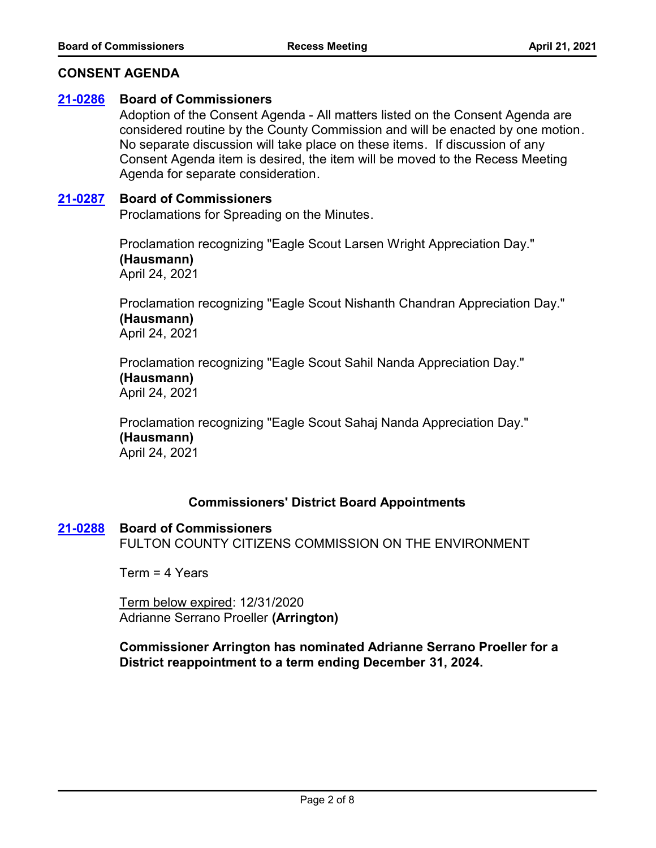## **CONSENT AGENDA**

## **[21-0286](http://fulton.legistar.com/gateway.aspx?m=l&id=/matter.aspx?key=1910) Board of Commissioners**

Adoption of the Consent Agenda - All matters listed on the Consent Agenda are considered routine by the County Commission and will be enacted by one motion. No separate discussion will take place on these items. If discussion of any Consent Agenda item is desired, the item will be moved to the Recess Meeting Agenda for separate consideration.

#### **[21-0287](http://fulton.legistar.com/gateway.aspx?m=l&id=/matter.aspx?key=1911) Board of Commissioners**

Proclamations for Spreading on the Minutes.

Proclamation recognizing "Eagle Scout Larsen Wright Appreciation Day." **(Hausmann)** April 24, 2021

Proclamation recognizing "Eagle Scout Nishanth Chandran Appreciation Day." **(Hausmann)** April 24, 2021

Proclamation recognizing "Eagle Scout Sahil Nanda Appreciation Day." **(Hausmann)** April 24, 2021

Proclamation recognizing "Eagle Scout Sahaj Nanda Appreciation Day." **(Hausmann)** April 24, 2021

## **Commissioners' District Board Appointments**

#### **[21-0288](http://fulton.legistar.com/gateway.aspx?m=l&id=/matter.aspx?key=1912) Board of Commissioners**

FULTON COUNTY CITIZENS COMMISSION ON THE ENVIRONMENT

Term = 4 Years

Term below expired: 12/31/2020 Adrianne Serrano Proeller **(Arrington)**

## **Commissioner Arrington has nominated Adrianne Serrano Proeller for a District reappointment to a term ending December 31, 2024.**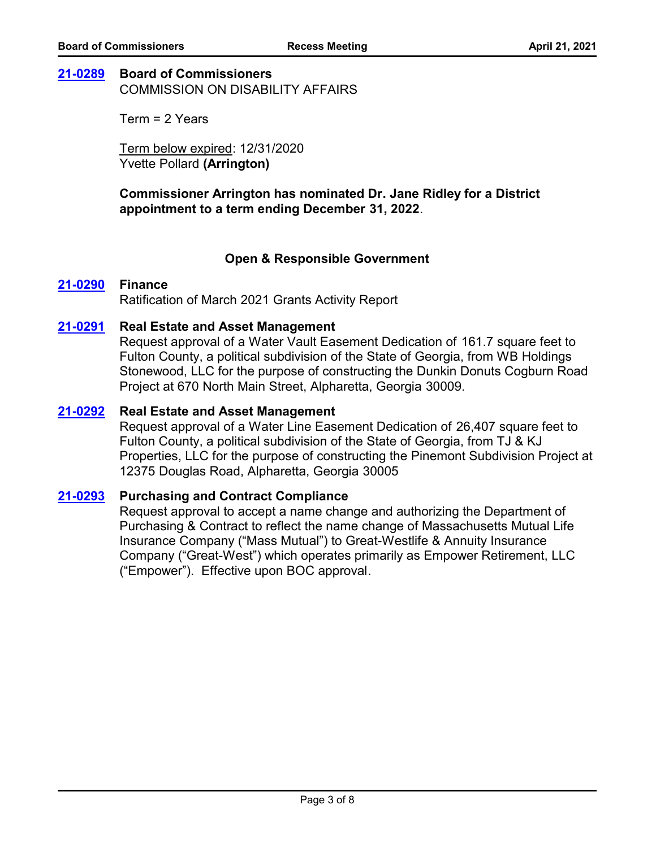# **[21-0289](http://fulton.legistar.com/gateway.aspx?m=l&id=/matter.aspx?key=1920) Board of Commissioners**

COMMISSION ON DISABILITY AFFAIRS

Term = 2 Years

Term below expired: 12/31/2020 Yvette Pollard **(Arrington)**

**Commissioner Arrington has nominated Dr. Jane Ridley for a District appointment to a term ending December 31, 2022**.

# **Open & Responsible Government**

## **[21-0290](http://fulton.legistar.com/gateway.aspx?m=l&id=/matter.aspx?key=1577) Finance**

Ratification of March 2021 Grants Activity Report

## **[21-0291](http://fulton.legistar.com/gateway.aspx?m=l&id=/matter.aspx?key=1805) Real Estate and Asset Management**

Request approval of a Water Vault Easement Dedication of 161.7 square feet to Fulton County, a political subdivision of the State of Georgia, from WB Holdings Stonewood, LLC for the purpose of constructing the Dunkin Donuts Cogburn Road Project at 670 North Main Street, Alpharetta, Georgia 30009.

#### **[21-0292](http://fulton.legistar.com/gateway.aspx?m=l&id=/matter.aspx?key=1806) Real Estate and Asset Management**

Request approval of a Water Line Easement Dedication of 26,407 square feet to Fulton County, a political subdivision of the State of Georgia, from TJ & KJ Properties, LLC for the purpose of constructing the Pinemont Subdivision Project at 12375 Douglas Road, Alpharetta, Georgia 30005

#### **[21-0293](http://fulton.legistar.com/gateway.aspx?m=l&id=/matter.aspx?key=1849) Purchasing and Contract Compliance**

Request approval to accept a name change and authorizing the Department of Purchasing & Contract to reflect the name change of Massachusetts Mutual Life Insurance Company ("Mass Mutual") to Great-Westlife & Annuity Insurance Company ("Great-West") which operates primarily as Empower Retirement, LLC ("Empower"). Effective upon BOC approval.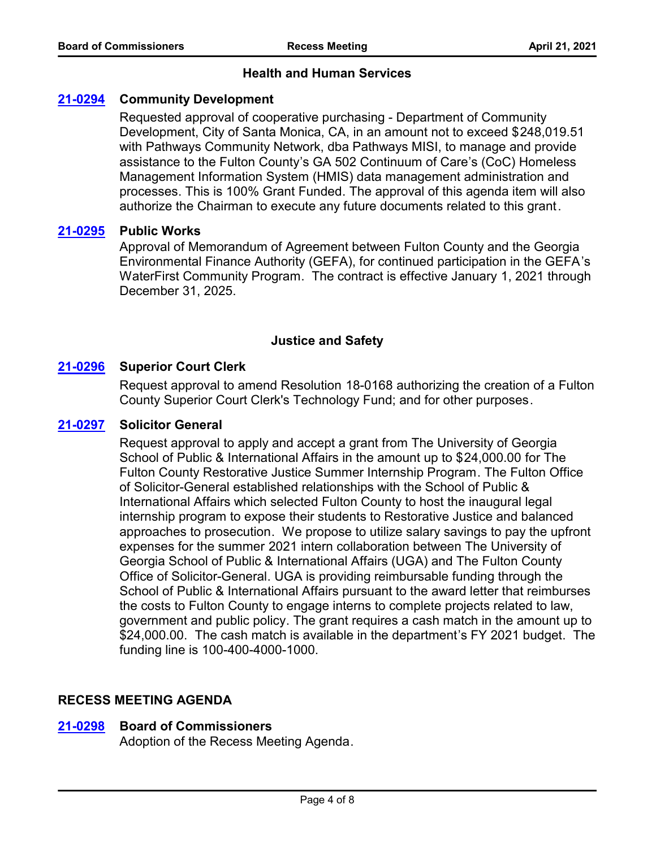## **Health and Human Services**

# **[21-0294](http://fulton.legistar.com/gateway.aspx?m=l&id=/matter.aspx?key=1815) Community Development**

Requested approval of cooperative purchasing - Department of Community Development, City of Santa Monica, CA, in an amount not to exceed \$248,019.51 with Pathways Community Network, dba Pathways MISI, to manage and provide assistance to the Fulton County's GA 502 Continuum of Care's (CoC) Homeless Management Information System (HMIS) data management administration and processes. This is 100% Grant Funded. The approval of this agenda item will also authorize the Chairman to execute any future documents related to this grant.

## **[21-0295](http://fulton.legistar.com/gateway.aspx?m=l&id=/matter.aspx?key=1833) Public Works**

Approval of Memorandum of Agreement between Fulton County and the Georgia Environmental Finance Authority (GEFA), for continued participation in the GEFA's WaterFirst Community Program. The contract is effective January 1, 2021 through December 31, 2025.

## **Justice and Safety**

## **[21-0296](http://fulton.legistar.com/gateway.aspx?m=l&id=/matter.aspx?key=1867) Superior Court Clerk**

Request approval to amend Resolution 18-0168 authorizing the creation of a Fulton County Superior Court Clerk's Technology Fund; and for other purposes.

## **[21-0297](http://fulton.legistar.com/gateway.aspx?m=l&id=/matter.aspx?key=1868) Solicitor General**

Request approval to apply and accept a grant from The University of Georgia School of Public & International Affairs in the amount up to \$24,000.00 for The Fulton County Restorative Justice Summer Internship Program. The Fulton Office of Solicitor-General established relationships with the School of Public & International Affairs which selected Fulton County to host the inaugural legal internship program to expose their students to Restorative Justice and balanced approaches to prosecution. We propose to utilize salary savings to pay the upfront expenses for the summer 2021 intern collaboration between The University of Georgia School of Public & International Affairs (UGA) and The Fulton County Office of Solicitor-General. UGA is providing reimbursable funding through the School of Public & International Affairs pursuant to the award letter that reimburses the costs to Fulton County to engage interns to complete projects related to law, government and public policy. The grant requires a cash match in the amount up to \$24,000.00. The cash match is available in the department's FY 2021 budget. The funding line is 100-400-4000-1000.

## **RECESS MEETING AGENDA**

## **[21-0298](http://fulton.legistar.com/gateway.aspx?m=l&id=/matter.aspx?key=1913) Board of Commissioners**

Adoption of the Recess Meeting Agenda.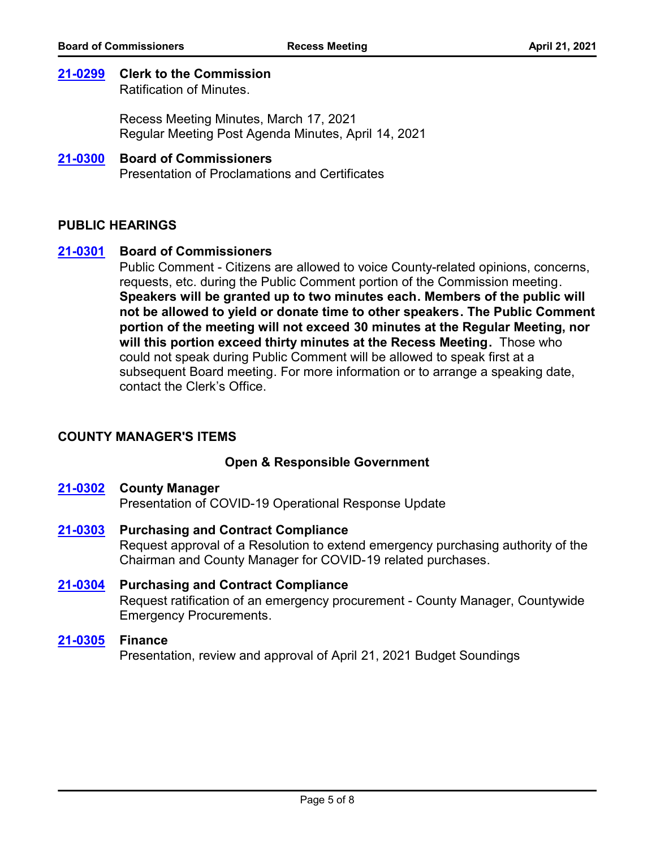## **[21-0299](http://fulton.legistar.com/gateway.aspx?m=l&id=/matter.aspx?key=1914) Clerk to the Commission**

Ratification of Minutes.

Recess Meeting Minutes, March 17, 2021 Regular Meeting Post Agenda Minutes, April 14, 2021

#### Presentation of Proclamations and Certificates **[21-0300](http://fulton.legistar.com/gateway.aspx?m=l&id=/matter.aspx?key=1915) Board of Commissioners**

# **PUBLIC HEARINGS**

## **[21-0301](http://fulton.legistar.com/gateway.aspx?m=l&id=/matter.aspx?key=1916) Board of Commissioners**

Public Comment - Citizens are allowed to voice County-related opinions, concerns, requests, etc. during the Public Comment portion of the Commission meeting. **Speakers will be granted up to two minutes each. Members of the public will not be allowed to yield or donate time to other speakers. The Public Comment portion of the meeting will not exceed 30 minutes at the Regular Meeting, nor will this portion exceed thirty minutes at the Recess Meeting.** Those who could not speak during Public Comment will be allowed to speak first at a subsequent Board meeting. For more information or to arrange a speaking date, contact the Clerk's Office.

# **COUNTY MANAGER'S ITEMS**

## **Open & Responsible Government**

#### **[21-0302](http://fulton.legistar.com/gateway.aspx?m=l&id=/matter.aspx?key=1738) County Manager**

Presentation of COVID-19 Operational Response Update

- Request approval of a Resolution to extend emergency purchasing authority of the Chairman and County Manager for COVID-19 related purchases. **[21-0303](http://fulton.legistar.com/gateway.aspx?m=l&id=/matter.aspx?key=1907) Purchasing and Contract Compliance**
- Request ratification of an emergency procurement County Manager, Countywide Emergency Procurements. **[21-0304](http://fulton.legistar.com/gateway.aspx?m=l&id=/matter.aspx?key=1906) Purchasing and Contract Compliance**

## **[21-0305](http://fulton.legistar.com/gateway.aspx?m=l&id=/matter.aspx?key=1642) Finance**

Presentation, review and approval of April 21, 2021 Budget Soundings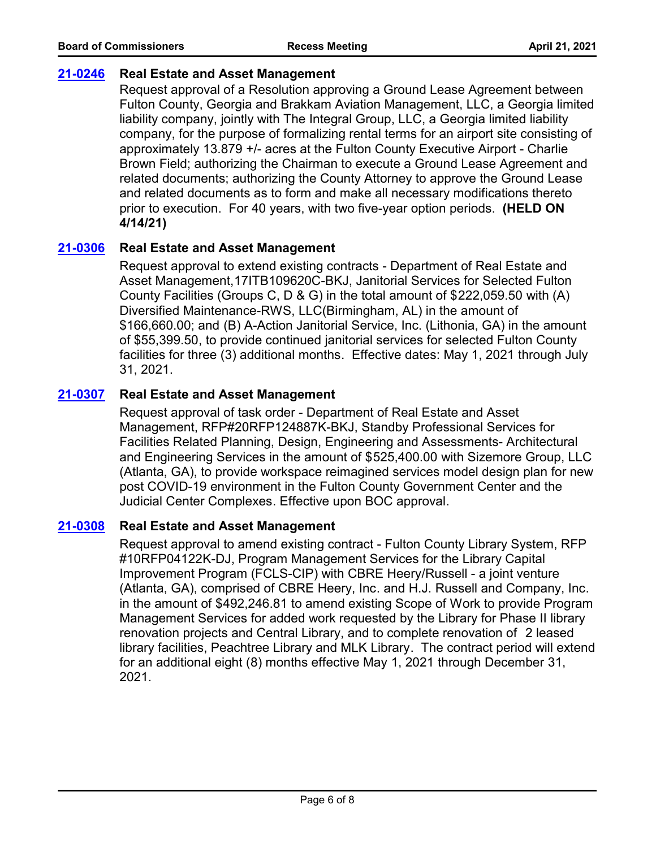# **[21-0246](http://fulton.legistar.com/gateway.aspx?m=l&id=/matter.aspx?key=1839) Real Estate and Asset Management**

Request approval of a Resolution approving a Ground Lease Agreement between Fulton County, Georgia and Brakkam Aviation Management, LLC, a Georgia limited liability company, jointly with The Integral Group, LLC, a Georgia limited liability company, for the purpose of formalizing rental terms for an airport site consisting of approximately 13.879 +/- acres at the Fulton County Executive Airport - Charlie Brown Field; authorizing the Chairman to execute a Ground Lease Agreement and related documents; authorizing the County Attorney to approve the Ground Lease and related documents as to form and make all necessary modifications thereto prior to execution. For 40 years, with two five-year option periods. **(HELD ON 4/14/21)**

# **[21-0306](http://fulton.legistar.com/gateway.aspx?m=l&id=/matter.aspx?key=1821) Real Estate and Asset Management**

Request approval to extend existing contracts - Department of Real Estate and Asset Management,17ITB109620C-BKJ, Janitorial Services for Selected Fulton County Facilities (Groups C, D & G) in the total amount of \$222,059.50 with (A) Diversified Maintenance-RWS, LLC(Birmingham, AL) in the amount of \$166,660.00; and (B) A-Action Janitorial Service, Inc. (Lithonia, GA) in the amount of \$55,399.50, to provide continued janitorial services for selected Fulton County facilities for three (3) additional months. Effective dates: May 1, 2021 through July 31, 2021.

# **[21-0307](http://fulton.legistar.com/gateway.aspx?m=l&id=/matter.aspx?key=1835) Real Estate and Asset Management**

Request approval of task order - Department of Real Estate and Asset Management, RFP#20RFP124887K-BKJ, Standby Professional Services for Facilities Related Planning, Design, Engineering and Assessments- Architectural and Engineering Services in the amount of \$525,400.00 with Sizemore Group, LLC (Atlanta, GA), to provide workspace reimagined services model design plan for new post COVID-19 environment in the Fulton County Government Center and the Judicial Center Complexes. Effective upon BOC approval.

# **[21-0308](http://fulton.legistar.com/gateway.aspx?m=l&id=/matter.aspx?key=1854) Real Estate and Asset Management**

Request approval to amend existing contract - Fulton County Library System, RFP #10RFP04122K-DJ, Program Management Services for the Library Capital Improvement Program (FCLS-CIP) with CBRE Heery/Russell - a joint venture (Atlanta, GA), comprised of CBRE Heery, Inc. and H.J. Russell and Company, Inc. in the amount of \$492,246.81 to amend existing Scope of Work to provide Program Management Services for added work requested by the Library for Phase II library renovation projects and Central Library, and to complete renovation of 2 leased library facilities, Peachtree Library and MLK Library. The contract period will extend for an additional eight (8) months effective May 1, 2021 through December 31, 2021.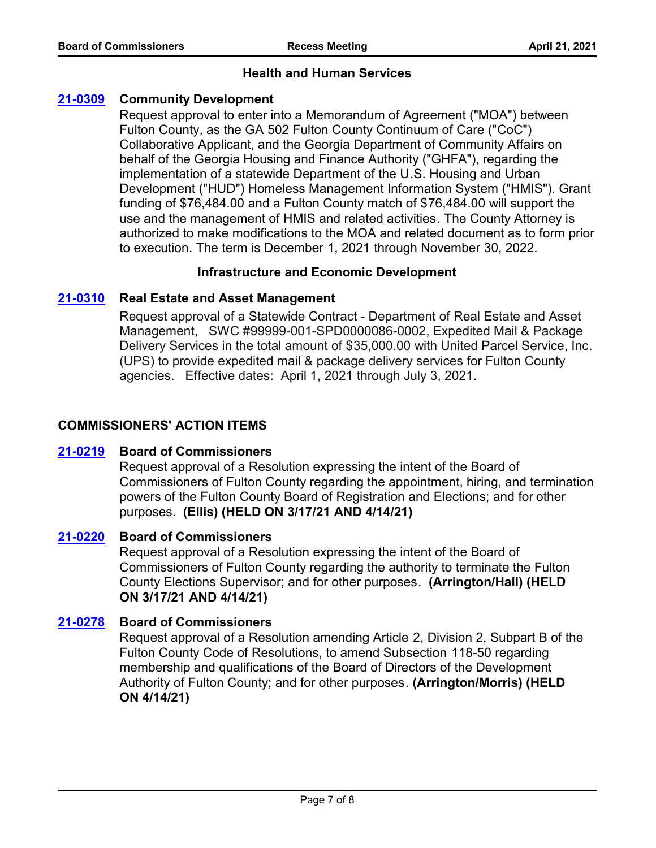# **Health and Human Services**

# **[21-0309](http://fulton.legistar.com/gateway.aspx?m=l&id=/matter.aspx?key=1816) Community Development**

Request approval to enter into a Memorandum of Agreement ("MOA") between Fulton County, as the GA 502 Fulton County Continuum of Care ("CoC") Collaborative Applicant, and the Georgia Department of Community Affairs on behalf of the Georgia Housing and Finance Authority ("GHFA"), regarding the implementation of a statewide Department of the U.S. Housing and Urban Development ("HUD") Homeless Management Information System ("HMIS"). Grant funding of \$76,484.00 and a Fulton County match of \$76,484.00 will support the use and the management of HMIS and related activities. The County Attorney is authorized to make modifications to the MOA and related document as to form prior to execution. The term is December 1, 2021 through November 30, 2022.

## **Infrastructure and Economic Development**

## **[21-0310](http://fulton.legistar.com/gateway.aspx?m=l&id=/matter.aspx?key=1712) Real Estate and Asset Management**

Request approval of a Statewide Contract - Department of Real Estate and Asset Management, SWC #99999-001-SPD0000086-0002, Expedited Mail & Package Delivery Services in the total amount of \$35,000.00 with United Parcel Service, Inc. (UPS) to provide expedited mail & package delivery services for Fulton County agencies. Effective dates: April 1, 2021 through July 3, 2021.

## **COMMISSIONERS' ACTION ITEMS**

## **[21-0219](http://fulton.legistar.com/gateway.aspx?m=l&id=/matter.aspx?key=1786) Board of Commissioners**

Request approval of a Resolution expressing the intent of the Board of Commissioners of Fulton County regarding the appointment, hiring, and termination powers of the Fulton County Board of Registration and Elections; and for other purposes. **(Ellis) (HELD ON 3/17/21 AND 4/14/21)**

## **[21-0220](http://fulton.legistar.com/gateway.aspx?m=l&id=/matter.aspx?key=1799) Board of Commissioners**

Request approval of a Resolution expressing the intent of the Board of Commissioners of Fulton County regarding the authority to terminate the Fulton County Elections Supervisor; and for other purposes. **(Arrington/Hall) (HELD ON 3/17/21 AND 4/14/21)**

## **[21-0278](http://fulton.legistar.com/gateway.aspx?m=l&id=/matter.aspx?key=1886) Board of Commissioners**

Request approval of a Resolution amending Article 2, Division 2, Subpart B of the Fulton County Code of Resolutions, to amend Subsection 118-50 regarding membership and qualifications of the Board of Directors of the Development Authority of Fulton County; and for other purposes. **(Arrington/Morris) (HELD ON 4/14/21)**